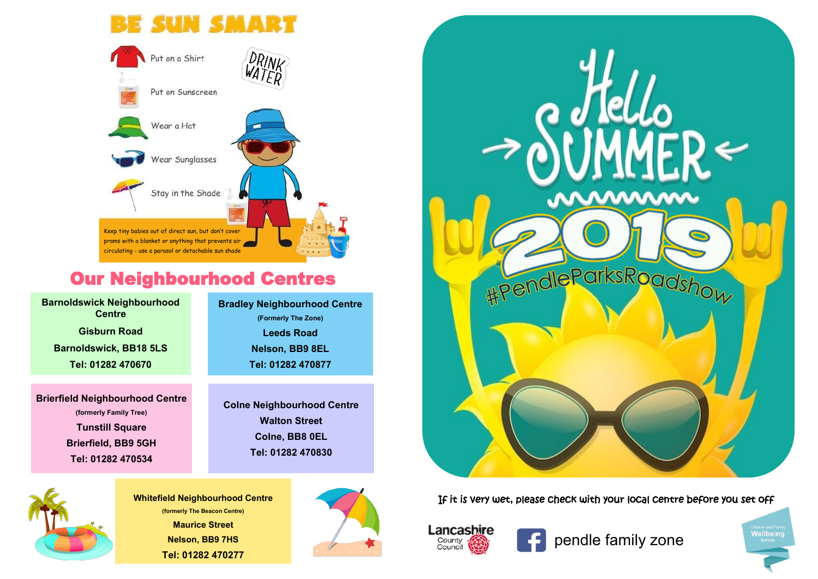## **SUN SMART**



## Our Neighbourhood Centres

**Barnoldswick Neighbourhood Centre Gisburn Road Barnoldswick, BB18 5LS Tel: 01282 470670**

**Brierfield Neighbourhood Centre (formerly Family Tree) Tunstill Square Brierfield, BB9 5GH Tel: 01282 470534**

**Bradley Neighbourhood Centre (Formerly The Zone) Leeds Road Nelson, BB9 8EL Tel: 01282 470877**

**Colne Neighbourhood Centre Walton Street Colne, BB8 0EL Tel: 01282 470830**



**(formerly The Beacon Centre) Maurice Street Nelson, BB9 7HS Tel: 01282 470277**





Whitefield Neighbourhood Centre **If it is very wet, please check with your local centre before you set off** 



pendle family zone